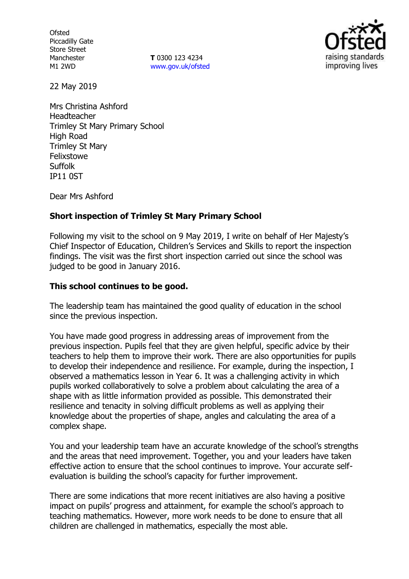**Ofsted** Piccadilly Gate Store Street Manchester M1 2WD

**T** 0300 123 4234 www.gov.uk/ofsted



22 May 2019

Mrs Christina Ashford Headteacher Trimley St Mary Primary School High Road Trimley St Mary Felixstowe Suffolk IP11 0ST

Dear Mrs Ashford

## **Short inspection of Trimley St Mary Primary School**

Following my visit to the school on 9 May 2019, I write on behalf of Her Majesty's Chief Inspector of Education, Children's Services and Skills to report the inspection findings. The visit was the first short inspection carried out since the school was judged to be good in January 2016.

## **This school continues to be good.**

The leadership team has maintained the good quality of education in the school since the previous inspection.

You have made good progress in addressing areas of improvement from the previous inspection. Pupils feel that they are given helpful, specific advice by their teachers to help them to improve their work. There are also opportunities for pupils to develop their independence and resilience. For example, during the inspection, I observed a mathematics lesson in Year 6. It was a challenging activity in which pupils worked collaboratively to solve a problem about calculating the area of a shape with as little information provided as possible. This demonstrated their resilience and tenacity in solving difficult problems as well as applying their knowledge about the properties of shape, angles and calculating the area of a complex shape.

You and your leadership team have an accurate knowledge of the school's strengths and the areas that need improvement. Together, you and your leaders have taken effective action to ensure that the school continues to improve. Your accurate selfevaluation is building the school's capacity for further improvement.

There are some indications that more recent initiatives are also having a positive impact on pupils' progress and attainment, for example the school's approach to teaching mathematics. However, more work needs to be done to ensure that all children are challenged in mathematics, especially the most able.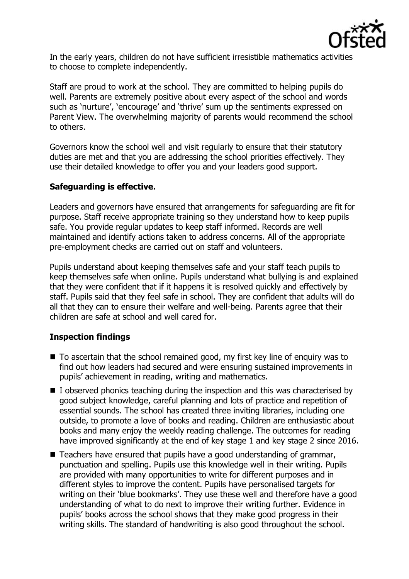

In the early years, children do not have sufficient irresistible mathematics activities to choose to complete independently.

Staff are proud to work at the school. They are committed to helping pupils do well. Parents are extremely positive about every aspect of the school and words such as 'nurture', 'encourage' and 'thrive' sum up the sentiments expressed on Parent View. The overwhelming majority of parents would recommend the school to others.

Governors know the school well and visit regularly to ensure that their statutory duties are met and that you are addressing the school priorities effectively. They use their detailed knowledge to offer you and your leaders good support.

# **Safeguarding is effective.**

Leaders and governors have ensured that arrangements for safeguarding are fit for purpose. Staff receive appropriate training so they understand how to keep pupils safe. You provide regular updates to keep staff informed. Records are well maintained and identify actions taken to address concerns. All of the appropriate pre-employment checks are carried out on staff and volunteers.

Pupils understand about keeping themselves safe and your staff teach pupils to keep themselves safe when online. Pupils understand what bullying is and explained that they were confident that if it happens it is resolved quickly and effectively by staff. Pupils said that they feel safe in school. They are confident that adults will do all that they can to ensure their welfare and well-being. Parents agree that their children are safe at school and well cared for.

# **Inspection findings**

- To ascertain that the school remained good, my first key line of enquiry was to find out how leaders had secured and were ensuring sustained improvements in pupils' achievement in reading, writing and mathematics.
- $\blacksquare$  I observed phonics teaching during the inspection and this was characterised by good subject knowledge, careful planning and lots of practice and repetition of essential sounds. The school has created three inviting libraries, including one outside, to promote a love of books and reading. Children are enthusiastic about books and many enjoy the weekly reading challenge. The outcomes for reading have improved significantly at the end of key stage 1 and key stage 2 since 2016.
- $\blacksquare$  Teachers have ensured that pupils have a good understanding of grammar, punctuation and spelling. Pupils use this knowledge well in their writing. Pupils are provided with many opportunities to write for different purposes and in different styles to improve the content. Pupils have personalised targets for writing on their 'blue bookmarks'. They use these well and therefore have a good understanding of what to do next to improve their writing further. Evidence in pupils' books across the school shows that they make good progress in their writing skills. The standard of handwriting is also good throughout the school.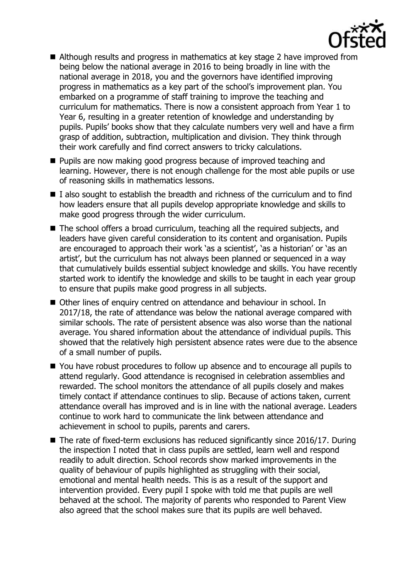

- Although results and progress in mathematics at key stage 2 have improved from being below the national average in 2016 to being broadly in line with the national average in 2018, you and the governors have identified improving progress in mathematics as a key part of the school's improvement plan. You embarked on a programme of staff training to improve the teaching and curriculum for mathematics. There is now a consistent approach from Year 1 to Year 6, resulting in a greater retention of knowledge and understanding by pupils. Pupils' books show that they calculate numbers very well and have a firm grasp of addition, subtraction, multiplication and division. They think through their work carefully and find correct answers to tricky calculations.
- **Pupils are now making good progress because of improved teaching and** learning. However, there is not enough challenge for the most able pupils or use of reasoning skills in mathematics lessons.
- $\blacksquare$  I also sought to establish the breadth and richness of the curriculum and to find how leaders ensure that all pupils develop appropriate knowledge and skills to make good progress through the wider curriculum.
- The school offers a broad curriculum, teaching all the required subjects, and leaders have given careful consideration to its content and organisation. Pupils are encouraged to approach their work 'as a scientist', 'as a historian' or 'as an artist', but the curriculum has not always been planned or sequenced in a way that cumulatively builds essential subject knowledge and skills. You have recently started work to identify the knowledge and skills to be taught in each year group to ensure that pupils make good progress in all subjects.
- Other lines of enquiry centred on attendance and behaviour in school. In 2017/18, the rate of attendance was below the national average compared with similar schools. The rate of persistent absence was also worse than the national average. You shared information about the attendance of individual pupils. This showed that the relatively high persistent absence rates were due to the absence of a small number of pupils.
- You have robust procedures to follow up absence and to encourage all pupils to attend regularly. Good attendance is recognised in celebration assemblies and rewarded. The school monitors the attendance of all pupils closely and makes timely contact if attendance continues to slip. Because of actions taken, current attendance overall has improved and is in line with the national average. Leaders continue to work hard to communicate the link between attendance and achievement in school to pupils, parents and carers.
- The rate of fixed-term exclusions has reduced significantly since 2016/17. During the inspection I noted that in class pupils are settled, learn well and respond readily to adult direction. School records show marked improvements in the quality of behaviour of pupils highlighted as struggling with their social, emotional and mental health needs. This is as a result of the support and intervention provided. Every pupil I spoke with told me that pupils are well behaved at the school. The majority of parents who responded to Parent View also agreed that the school makes sure that its pupils are well behaved.